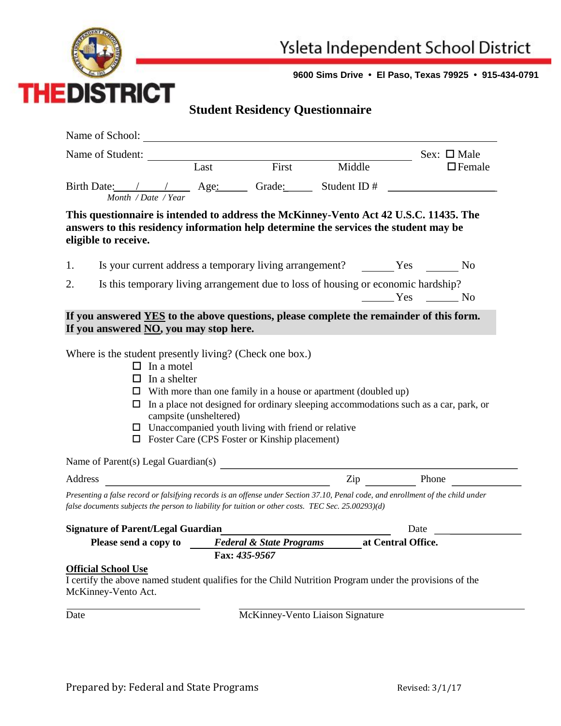

**9600 Sims Drive • El Paso, Texas 79925 • 915-434-0791**

## **Student Residency Questionnaire**

|                                                                                                                                                                                                                                        |                                          |                                                                                                                   |                                                                                                                                                               | Sex: $\square$ Male |  |  |  |
|----------------------------------------------------------------------------------------------------------------------------------------------------------------------------------------------------------------------------------------|------------------------------------------|-------------------------------------------------------------------------------------------------------------------|---------------------------------------------------------------------------------------------------------------------------------------------------------------|---------------------|--|--|--|
| Name of Student: Last First Mid                                                                                                                                                                                                        |                                          |                                                                                                                   | Middle                                                                                                                                                        | $\Box$ Female       |  |  |  |
|                                                                                                                                                                                                                                        |                                          |                                                                                                                   |                                                                                                                                                               |                     |  |  |  |
| Month / Date / Year                                                                                                                                                                                                                    |                                          |                                                                                                                   |                                                                                                                                                               |                     |  |  |  |
| This questionnaire is intended to address the McKinney-Vento Act 42 U.S.C. 11435. The<br>answers to this residency information help determine the services the student may be                                                          |                                          |                                                                                                                   |                                                                                                                                                               |                     |  |  |  |
| eligible to receive.                                                                                                                                                                                                                   |                                          |                                                                                                                   |                                                                                                                                                               |                     |  |  |  |
| 1.                                                                                                                                                                                                                                     |                                          |                                                                                                                   |                                                                                                                                                               |                     |  |  |  |
| Is this temporary living arrangement due to loss of housing or economic hardship?<br>2.<br>$Yes$ No                                                                                                                                    |                                          |                                                                                                                   |                                                                                                                                                               |                     |  |  |  |
| If you answered YES to the above questions, please complete the remainder of this form.<br>If you answered NO, you may stop here.                                                                                                      |                                          |                                                                                                                   |                                                                                                                                                               |                     |  |  |  |
| Where is the student presently living? (Check one box.)<br>$\Box$ In a motel<br>In a shelter<br>ப<br>□                                                                                                                                 | campsite (unsheltered)                   | $\Box$ Unaccompanied youth living with friend or relative<br>$\Box$ Foster Care (CPS Foster or Kinship placement) | $\Box$ With more than one family in a house or apartment (doubled up)<br>In a place not designed for ordinary sleeping accommodations such as a car, park, or |                     |  |  |  |
| Name of Parent(s) Legal Guardian(s)                                                                                                                                                                                                    |                                          |                                                                                                                   |                                                                                                                                                               |                     |  |  |  |
| Address                                                                                                                                                                                                                                |                                          |                                                                                                                   | Zip Phone                                                                                                                                                     |                     |  |  |  |
| Presenting a false record or falsifying records is an offense under Section 37.10, Penal code, and enrollment of the child under<br>false documents subjects the person to liability for tuition or other costs. TEC Sec. 25.00293)(d) |                                          |                                                                                                                   |                                                                                                                                                               |                     |  |  |  |
| <b>Signature of Parent/Legal Guardian</b>                                                                                                                                                                                              |                                          |                                                                                                                   |                                                                                                                                                               | Date                |  |  |  |
| Please send a copy to                                                                                                                                                                                                                  |                                          |                                                                                                                   | Federal & State Programs at Central Office.                                                                                                                   |                     |  |  |  |
|                                                                                                                                                                                                                                        |                                          | Fax: 435-9567                                                                                                     |                                                                                                                                                               |                     |  |  |  |
| <b>Official School Use</b><br>I certify the above named student qualifies for the Child Nutrition Program under the provisions of the<br>McKinney-Vento Act.                                                                           |                                          |                                                                                                                   |                                                                                                                                                               |                     |  |  |  |
|                                                                                                                                                                                                                                        | McKinney-Vento Liaison Signature<br>Date |                                                                                                                   |                                                                                                                                                               |                     |  |  |  |